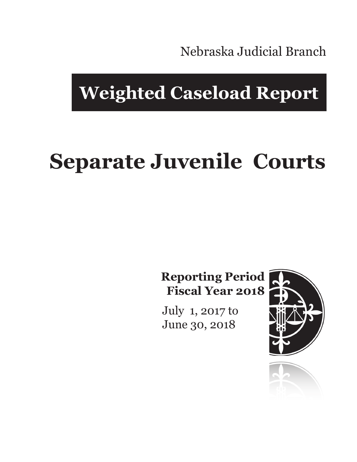Nebraska Judicial Branch

## **Weighted Caseload Report**

# **Separate Juvenile Courts**

**Reporting Period Fiscal Year 2018**

July 1, 2017 to June 30, 2018



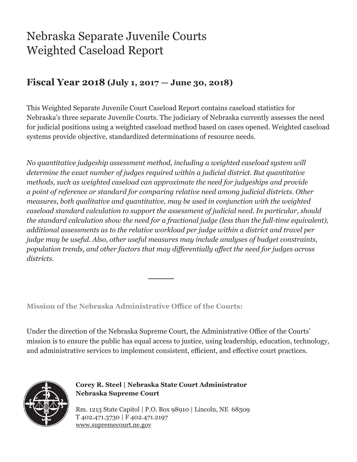### Nebraska Separate Juvenile Courts Weighted Caseload Report

#### **Fiscal Year 2018 (July 1, 2017 — June 30, 2018)**

This Weighted Separate Juvenile Court Caseload Report contains caseload statistics for Nebraska's three separate Juvenile Courts. The judiciary of Nebraska currently assesses the need for judicial positions using a weighted caseload method based on cases opened. Weighted caseload systems provide objective, standardized determinations of resource needs.

*No quantitative judgeship assessment method, including a weighted caseload system will determine the exact number of judges required within a judicial district. But quantitative methods, such as weighted caseload can approximate the need for judgeships and provide a point of reference or standard for comparing relative need among judicial districts. Other measures, both qualitative and quantitative, may be used in conjunction with the weighted caseload standard calculation to support the assessment of judicial need. In particular, should the standard calculation show the need for a fractional judge (less than the full-time equivalent), additional assessments as to the relative workload per judge within a district and travel per judge may be useful. Also, other useful measures may include analyses of budget constraints, population trends, and other factors that may differentially affect the need for judges across districts.*

**Mission of the Nebraska Administrative Office of the Courts:**

Under the direction of the Nebraska Supreme Court, the Administrative Office of the Courts' mission is to ensure the public has equal access to justice, using leadership, education, technology, and administrative services to implement consistent, efficient, and effective court practices.



**Corey R. Steel | Nebraska State Court Administrator Nebraska Supreme Court**

Rm. 1213 State Capitol | P.O. Box 98910 | Lincoln, NE 68509 T 402.471.3730 | F 402.471.2197 www.supremecourt.ne.gov